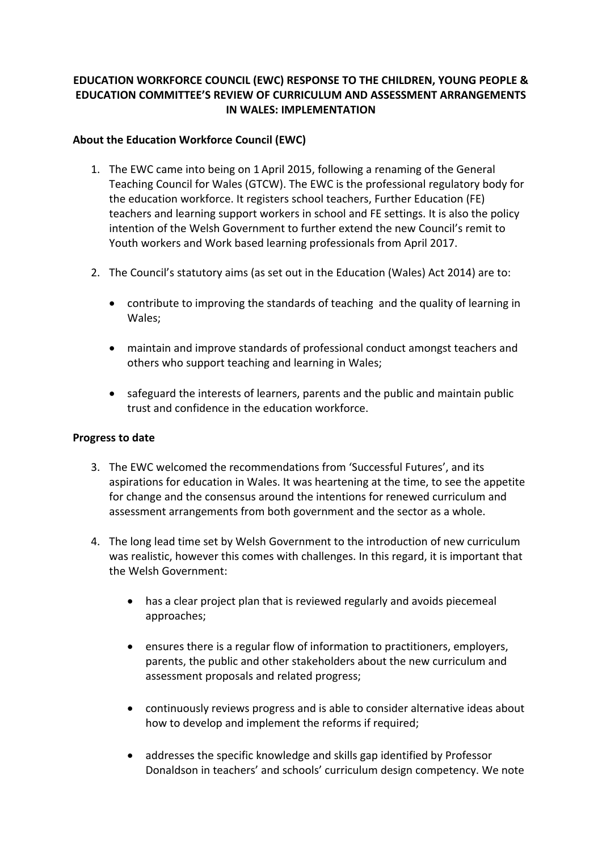## **EDUCATION WORKFORCE COUNCIL (EWC) RESPONSE TO THE CHILDREN, YOUNG PEOPLE & EDUCATION COMMITTEE'S REVIEW OF CURRICULUM AND ASSESSMENT ARRANGEMENTS IN WALES: IMPLEMENTATION**

### **About the Education Workforce Council (EWC)**

- 1. The EWC came into being on 1 April 2015, following a renaming of the General Teaching Council for Wales (GTCW). The EWC is the professional regulatory body for the education workforce. It registers school teachers, Further Education (FE) teachers and learning support workers in school and FE settings. It is also the policy intention of the Welsh Government to further extend the new Council's remit to Youth workers and Work based learning professionals from April 2017.
- 2. The Council's statutory aims (as set out in the Education (Wales) Act 2014) are to:
	- contribute to improving the standards of teaching and the quality of learning in Wales;
	- maintain and improve standards of professional conduct amongst teachers and others who support teaching and learning in Wales;
	- safeguard the interests of learners, parents and the public and maintain public trust and confidence in the education workforce.

#### **Progress to date**

- 3. The EWC welcomed the recommendations from 'Successful Futures', and its aspirations for education in Wales. It was heartening at the time, to see the appetite for change and the consensus around the intentions for renewed curriculum and assessment arrangements from both government and the sector as a whole.
- 4. The long lead time set by Welsh Government to the introduction of new curriculum was realistic, however this comes with challenges. In this regard, it is important that the Welsh Government:
	- has a clear project plan that is reviewed regularly and avoids piecemeal approaches;
	- ensures there is a regular flow of information to practitioners, employers, parents, the public and other stakeholders about the new curriculum and assessment proposals and related progress;
	- continuously reviews progress and is able to consider alternative ideas about how to develop and implement the reforms if required;
	- addresses the specific knowledge and skills gap identified by Professor Donaldson in teachers' and schools' curriculum design competency. We note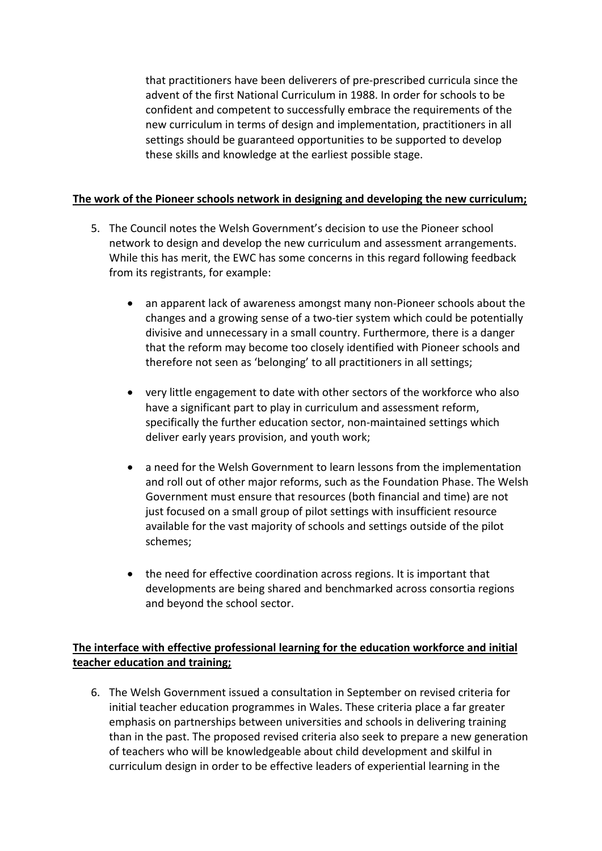that practitioners have been deliverers of pre-prescribed curricula since the advent of the first National Curriculum in 1988. In order for schools to be confident and competent to successfully embrace the requirements of the new curriculum in terms of design and implementation, practitioners in all settings should be guaranteed opportunities to be supported to develop these skills and knowledge at the earliest possible stage.

## **The work of the Pioneer schools network in designing and developing the new curriculum;**

- 5. The Council notes the Welsh Government's decision to use the Pioneer school network to design and develop the new curriculum and assessment arrangements. While this has merit, the EWC has some concerns in this regard following feedback from its registrants, for example:
	- an apparent lack of awareness amongst many non-Pioneer schools about the changes and a growing sense of a two-tier system which could be potentially divisive and unnecessary in a small country. Furthermore, there is a danger that the reform may become too closely identified with Pioneer schools and therefore not seen as 'belonging' to all practitioners in all settings;
	- very little engagement to date with other sectors of the workforce who also have a significant part to play in curriculum and assessment reform, specifically the further education sector, non-maintained settings which deliver early years provision, and youth work;
	- a need for the Welsh Government to learn lessons from the implementation and roll out of other major reforms, such as the Foundation Phase. The Welsh Government must ensure that resources (both financial and time) are not just focused on a small group of pilot settings with insufficient resource available for the vast majority of schools and settings outside of the pilot schemes;
	- the need for effective coordination across regions. It is important that developments are being shared and benchmarked across consortia regions and beyond the school sector.

# **The interface with effective professional learning for the education workforce and initial teacher education and training;**

6. The Welsh Government issued a consultation in September on revised criteria for initial teacher education programmes in Wales. These criteria place a far greater emphasis on partnerships between universities and schools in delivering training than in the past. The proposed revised criteria also seek to prepare a new generation of teachers who will be knowledgeable about child development and skilful in curriculum design in order to be effective leaders of experiential learning in the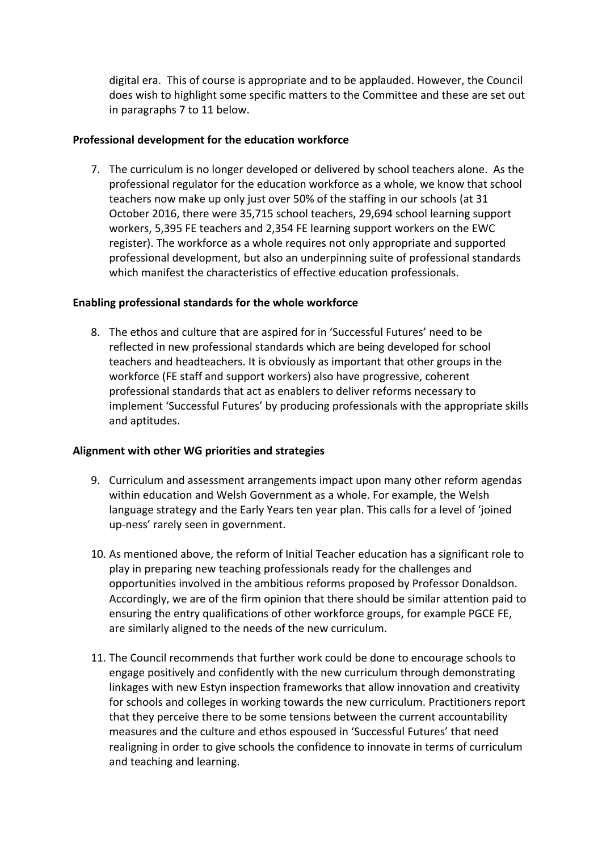digital era. This of course is appropriate and to be applauded. However, the Council does wish to highlight some specific matters to the Committee and these are set out in paragraphs 7 to 11 below.

### **Professional development for the education workforce**

7. The curriculum is no longer developed or delivered by school teachers alone. As the professional regulator for the education workforce as a whole, we know that school teachers now make up only just over 50% of the staffing in our schools (at 31 October 2016, there were 35,715 school teachers, 29,694 school learning support workers, 5,395 FE teachers and 2,354 FE learning support workers on the EWC register). The workforce as a whole requires not only appropriate and supported professional development, but also an underpinning suite of professional standards which manifest the characteristics of effective education professionals.

### **Enabling professional standards for the whole workforce**

8. The ethos and culture that are aspired for in 'Successful Futures' need to be reflected in new professional standards which are being developed for school teachers and headteachers. It is obviously as important that other groups in the workforce (FE staff and support workers) also have progressive, coherent professional standards that act as enablers to deliver reforms necessary to implement 'Successful Futures' by producing professionals with the appropriate skills and aptitudes.

## **Alignment with other WG priorities and strategies**

- 9. Curriculum and assessment arrangements impact upon many other reform agendas within education and Welsh Government as a whole. For example, the Welsh language strategy and the Early Years ten year plan. This calls for a level of 'joined up-ness' rarely seen in government.
- 10. As mentioned above, the reform of Initial Teacher education has a significant role to play in preparing new teaching professionals ready for the challenges and opportunities involved in the ambitious reforms proposed by Professor Donaldson. Accordingly, we are of the firm opinion that there should be similar attention paid to ensuring the entry qualifications of other workforce groups, for example PGCE FE, are similarly aligned to the needs of the new curriculum.
- 11. The Council recommends that further work could be done to encourage schools to engage positively and confidently with the new curriculum through demonstrating linkages with new Estyn inspection frameworks that allow innovation and creativity for schools and colleges in working towards the new curriculum. Practitioners report that they perceive there to be some tensions between the current accountability measures and the culture and ethos espoused in 'Successful Futures' that need realigning in order to give schools the confidence to innovate in terms of curriculum and teaching and learning.